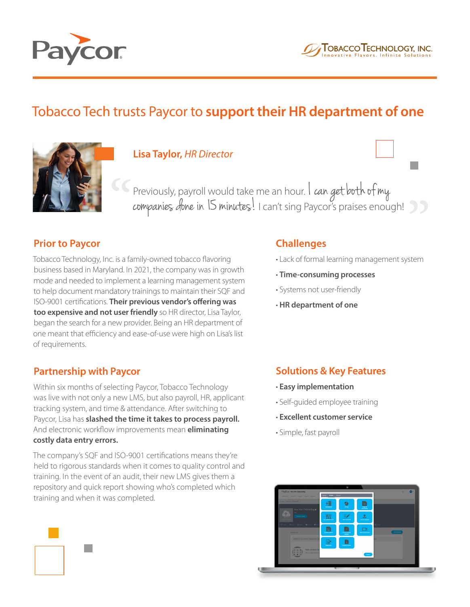



# Tobacco Tech trusts Paycor to **support their HR department of one**



### **Lisa Taylor,** *HR Director*

 $cc$ Previously, payroll would take me an hour. I can get both of my<br>companies done in 15 minutes! I can't sing Paycor's praises enough!

#### **Prior to Paycor**

Tobacco Technology, Inc. is a family-owned tobacco flavoring business based in Maryland. In 2021, the company was in growth mode and needed to implement a learning management system to help document mandatory trainings to maintain their SQF and ISO-9001 certifications. **Their previous vendor's offering was too expensive and not user friendly** so HR director, Lisa Taylor, began the search for a new provider. Being an HR department of one meant that efficiency and ease-of-use were high on Lisa's list of requirements.

#### **Partnership with Paycor**

Within six months of selecting Paycor, Tobacco Technology was live with not only a new LMS, but also payroll, HR, applicant tracking system, and time & attendance. After switching to Paycor, Lisa has **slashed the time it takes to process payroll.**  And electronic workflow improvements mean **eliminating costly data entry errors.** 

The company's SQF and ISO-9001 certifications means they're held to rigorous standards when it comes to quality control and training. In the event of an audit, their new LMS gives them a repository and quick report showing who's completed which training and when it was completed.

### **Challenges**

- Lack of formal learning management system
- **Time-consuming processes**
- Systems not user-friendly
- **HR department of one**

#### **Solutions & Key Features**

- **Easy implementation**
- Self-guided employee training
- **Excellent customer service**
- Simple, fast payroll